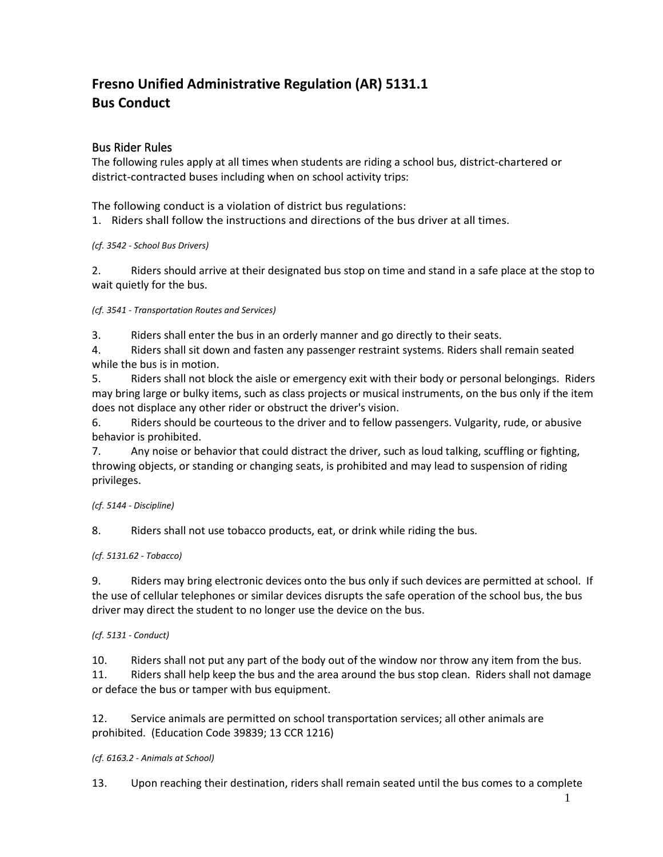# **Fresno Unified Administrative Regulation (AR) 5131.1 Bus Conduct**

## Bus Rider Rules

The following rules apply at all times when students are riding a school bus, district-chartered or district-contracted buses including when on school activity trips:

The following conduct is a violation of district bus regulations:

1. Riders shall follow the instructions and directions of the bus driver at all times.

*(cf. 3542 - School Bus Drivers)*

2. Riders should arrive at their designated bus stop on time and stand in a safe place at the stop to wait quietly for the bus.

*(cf. 3541 - Transportation Routes and Services)*

3. Riders shall enter the bus in an orderly manner and go directly to their seats.

4. Riders shall sit down and fasten any passenger restraint systems. Riders shall remain seated while the bus is in motion.

5. Riders shall not block the aisle or emergency exit with their body or personal belongings. Riders may bring large or bulky items, such as class projects or musical instruments, on the bus only if the item does not displace any other rider or obstruct the driver's vision.

6. Riders should be courteous to the driver and to fellow passengers. Vulgarity, rude, or abusive behavior is prohibited.

7. Any noise or behavior that could distract the driver, such as loud talking, scuffling or fighting, throwing objects, or standing or changing seats, is prohibited and may lead to suspension of riding privileges.

#### *(cf. 5144 - Discipline)*

8. Riders shall not use tobacco products, eat, or drink while riding the bus.

#### *(cf. 5131.62 - Tobacco)*

9. Riders may bring electronic devices onto the bus only if such devices are permitted at school. If the use of cellular telephones or similar devices disrupts the safe operation of the school bus, the bus driver may direct the student to no longer use the device on the bus.

#### *(cf. 5131 - Conduct)*

10. Riders shall not put any part of the body out of the window nor throw any item from the bus.

11. Riders shall help keep the bus and the area around the bus stop clean. Riders shall not damage or deface the bus or tamper with bus equipment.

12. Service animals are permitted on school transportation services; all other animals are prohibited. (Education Code 39839; 13 CCR 1216)

#### *(cf. 6163.2 - Animals at School)*

13. Upon reaching their destination, riders shall remain seated until the bus comes to a complete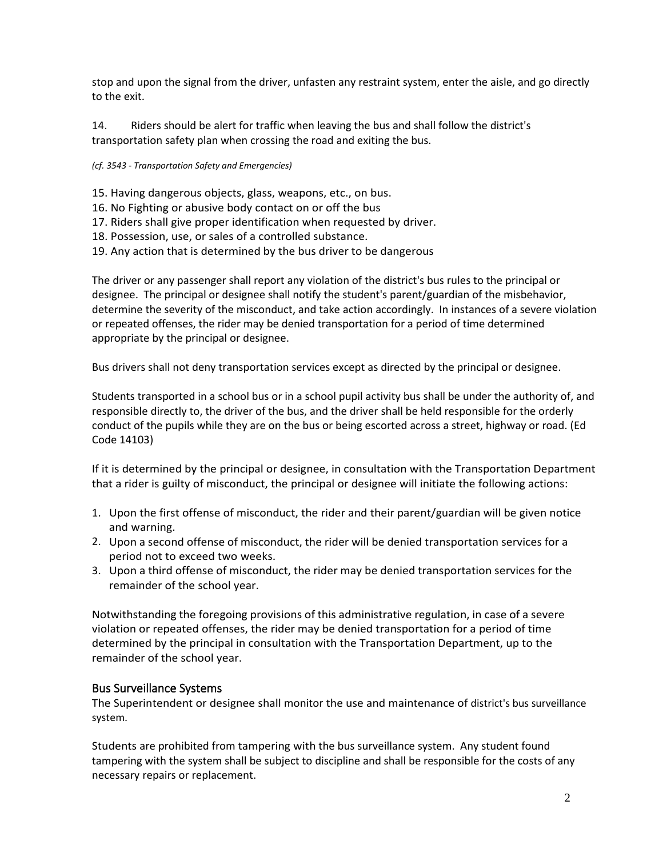stop and upon the signal from the driver, unfasten any restraint system, enter the aisle, and go directly to the exit.

14. Riders should be alert for traffic when leaving the bus and shall follow the district's transportation safety plan when crossing the road and exiting the bus.

#### *(cf. 3543 - Transportation Safety and Emergencies)*

- 15. Having dangerous objects, glass, weapons, etc., on bus.
- 16. No Fighting or abusive body contact on or off the bus
- 17. Riders shall give proper identification when requested by driver.
- 18. Possession, use, or sales of a controlled substance.
- 19. Any action that is determined by the bus driver to be dangerous

The driver or any passenger shall report any violation of the district's bus rules to the principal or designee. The principal or designee shall notify the student's parent/guardian of the misbehavior, determine the severity of the misconduct, and take action accordingly. In instances of a severe violation or repeated offenses, the rider may be denied transportation for a period of time determined appropriate by the principal or designee.

Bus drivers shall not deny transportation services except as directed by the principal or designee.

Students transported in a school bus or in a school pupil activity bus shall be under the authority of, and responsible directly to, the driver of the bus, and the driver shall be held responsible for the orderly conduct of the pupils while they are on the bus or being escorted across a street, highway or road. (Ed Code 14103)

If it is determined by the principal or designee, in consultation with the Transportation Department that a rider is guilty of misconduct, the principal or designee will initiate the following actions:

- 1. Upon the first offense of misconduct, the rider and their parent/guardian will be given notice and warning.
- 2. Upon a second offense of misconduct, the rider will be denied transportation services for a period not to exceed two weeks.
- 3. Upon a third offense of misconduct, the rider may be denied transportation services for the remainder of the school year.

Notwithstanding the foregoing provisions of this administrative regulation, in case of a severe violation or repeated offenses, the rider may be denied transportation for a period of time determined by the principal in consultation with the Transportation Department, up to the remainder of the school year.

### Bus Surveillance Systems

The Superintendent or designee shall monitor the use and maintenance of district's bus surveillance system.

Students are prohibited from tampering with the bus surveillance system. Any student found tampering with the system shall be subject to discipline and shall be responsible for the costs of any necessary repairs or replacement.